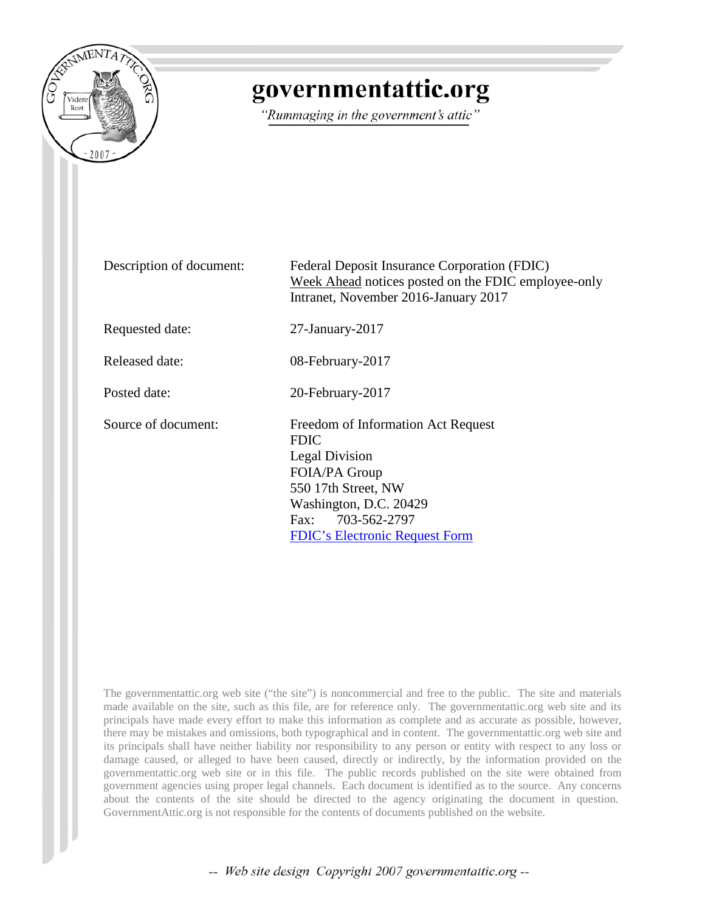

# governmentattic.org

"Rummaging in the government's attic"

| Description of document: | Federal Deposit Insurance Corporation (FDIC)<br>Week Ahead notices posted on the FDIC employee-only<br>Intranet, November 2016-January 2017                                                         |
|--------------------------|-----------------------------------------------------------------------------------------------------------------------------------------------------------------------------------------------------|
| Requested date:          | $27$ -January- $2017$                                                                                                                                                                               |
| Released date:           | 08-February-2017                                                                                                                                                                                    |
| Posted date:             | 20-February-2017                                                                                                                                                                                    |
| Source of document:      | Freedom of Information Act Request<br><b>FDIC</b><br>Legal Division<br>FOIA/PA Group<br>550 17th Street, NW<br>Washington, D.C. 20429<br>Fax: 703-562-2797<br><b>FDIC's Electronic Request Form</b> |

The governmentattic.org web site ("the site") is noncommercial and free to the public. The site and materials made available on the site, such as this file, are for reference only. The governmentattic.org web site and its principals have made every effort to make this information as complete and as accurate as possible, however, there may be mistakes and omissions, both typographical and in content. The governmentattic.org web site and its principals shall have neither liability nor responsibility to any person or entity with respect to any loss or damage caused, or alleged to have been caused, directly or indirectly, by the information provided on the governmentattic.org web site or in this file. The public records published on the site were obtained from government agencies using proper legal channels. Each document is identified as to the source. Any concerns about the contents of the site should be directed to the agency originating the document in question. GovernmentAttic.org is not responsible for the contents of documents published on the website.

-- Web site design Copyright 2007 governmentattic.org --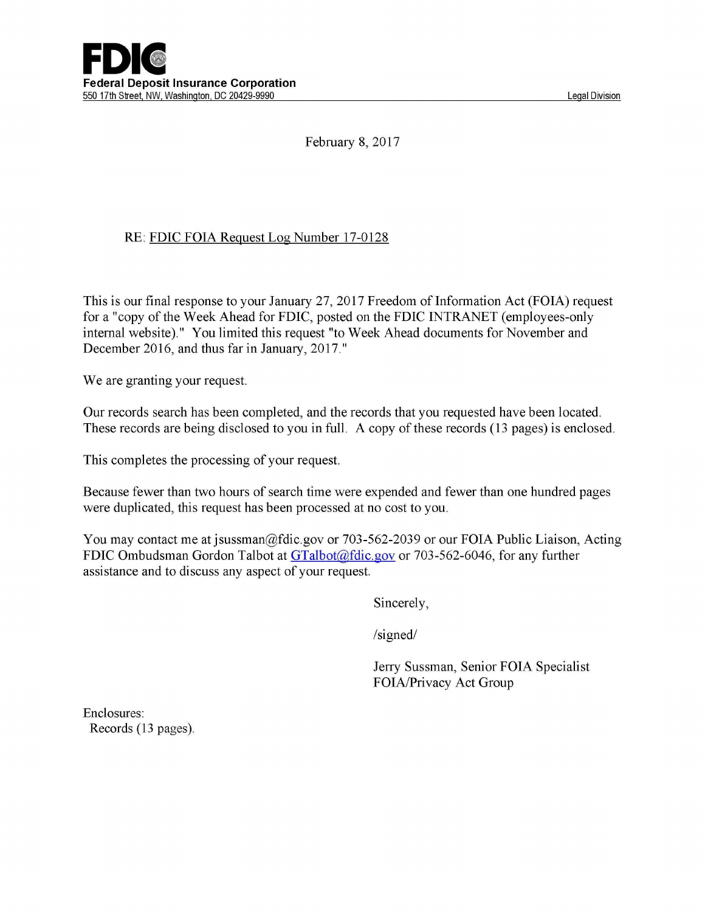

February 8, 2017

### RE: FDIC FOIA Request Log Number 17-0128

This is our final response to your January 27, 2017 Freedom of Information Act (FOIA) request for a "copy of the Week Ahead for FDIC, posted on the FDIC INTRANET (employees-only internal website)." You limited this request "to Week Ahead documents for November and December 2016, and thus far in January, 2017."

We are granting your request.

Our records search has been completed, and the records that you requested have been located. These records are being disclosed to you in full. A copy of these records (13 pages) is enclosed.

This completes the processing of your request.

Because fewer than two hours of search time were expended and fewer than one hundred pages were duplicated, this request has been processed at no cost to you.

You may contact me at jsussman@fdic.gov or 703-562-2039 or our FOIA Public Liaison, Acting FDIC Ombudsman Gordon Talbot at GTalbot@fdic.gov or 703-562-6046, for any further assistance and to discuss any aspect of your request.

Sincerely,

/signed/

Jerry Sussman, Senior FOIA Specialist FOIA/Privacy Act Group

Enclosures: Records (13 pages).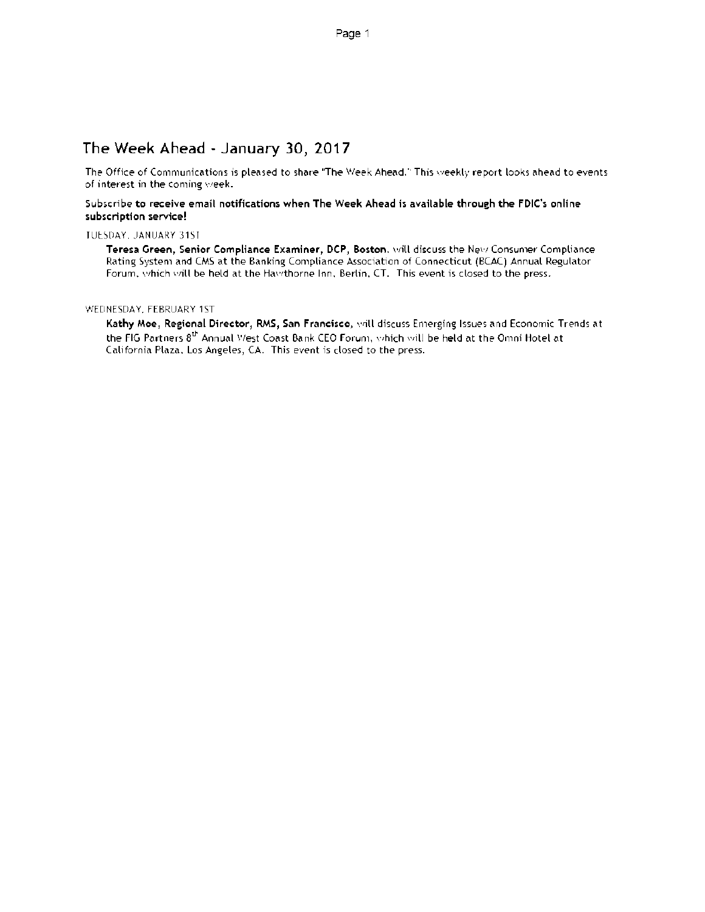# The Week Ahead - January 30, 2017

The Office of Communications is pleased to share The Week Ahead." This weekly report looks ahead to events of interest in the coming week.

#### Subscribe to receive email notifications when The Week Ahead is available through the FDIC's online subscription service!

TUESDAY, JANUARY 31SI

Teresa Green, Senior Compliance Examiner, DCP, Boston, will discuss the New Consumer Compliance Rating System and CMS at the Banking Compliance Association of Connecticut (BCAC) Annual Regulator Forum, which will be held at the Hawthorne Inn, Berlin, CT. This event is closed to the press.

WEDNESDAY. FEBRUARY 1ST

Kathy Moe, Regional Director, RMS, San Francisco, will discuss Emerging Issues and Economic Trends at the FIG Partners  $8^{th}$  Annual West Coast Bank CEO Forum, which will be held at the Omni Hotel at California Plaza, Los Angeles, CA. This event is closed to the press.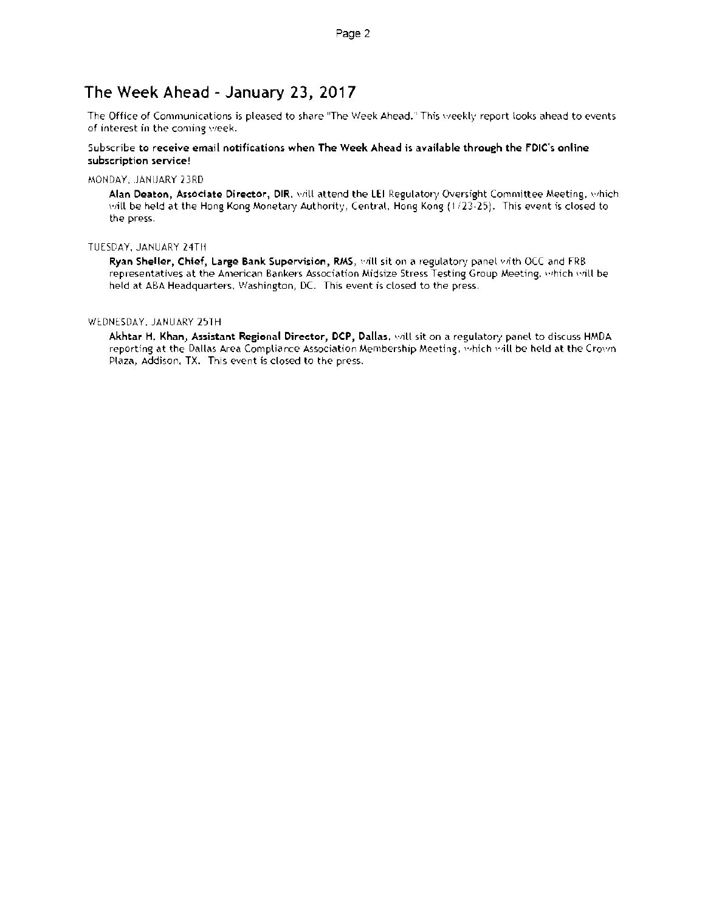## The Week Ahead - January 23, 2017

The Office of Communications is pleased to share "The Week Ahead. This weekly report looks ahead to events of interest in the coming week.

#### Subscribe to receive email notifications when The Week Ahead is available through the FDIC's online subscription service!

#### MONDAY. JANUARY 23RD

Alan Deaton, Associate Director, DIR. will attend the LEI Regulatory Oversight Committee Meeting, which will be held at the Hong Kong Monetary Authority, Central, Hong Kong (1123-25). This event is closed to the press.

#### TUESDAY, JANUARY 24TH

Ryan Sheller, Chief, Large Bank Supervision, RMS, will sit on a regulatory panel with OCC and FRB representatives at the American Bankers Association Midsize Stress Testing Group Meeting. which will be held at ABA Headquarters, Washington, DC. This event is closed to the press.

#### WEDNESDAY, JANUARY 25TH

Akhtar H. Khan, Assistant Regional Director, DCP, Dallas. will sit on a regulatory panel to discuss HMDA reporting at the Dallas Area Compliance Association Membership Meeting, which be held at the Crown Plaza, Addison, TX. This event is closed to the press.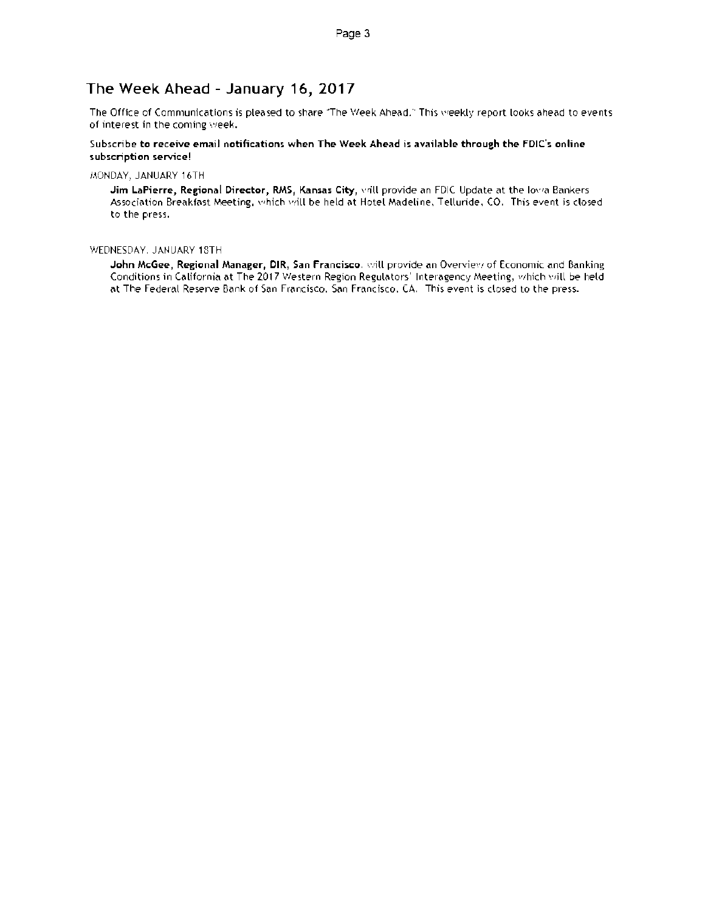### The Week Ahead - January 16, 2017

The Office of Communications is pleased to share ''The Week Ahead." This weekly report looks ahead to events of interest in the coming week.

#### Subscribe to receive email notifications when The Week Ahead is available through the FDIC's online subscription service!

MONDAY, JANUARY 16TH

Jim LaPierre, Regional Director, RMS, Kansas City, wrill provide an FDIC Update at the Iowa Bankers Association Breakfast Meeting, which will be held at Hotel Madeline, Telluride, CO. This event is closed to the press.

#### WEDNESDAY. JANUARY 18TH

John McGee, Regional Manager, DIR, San Francisco, will provide an Overview of Economic and Banking Conditions in California at The 2017 Western Region Regulators' Interagency Meeting, which will be held at The Federal Reserve Bank of San Francisco, San Francisco. CA. This event is closed to the press.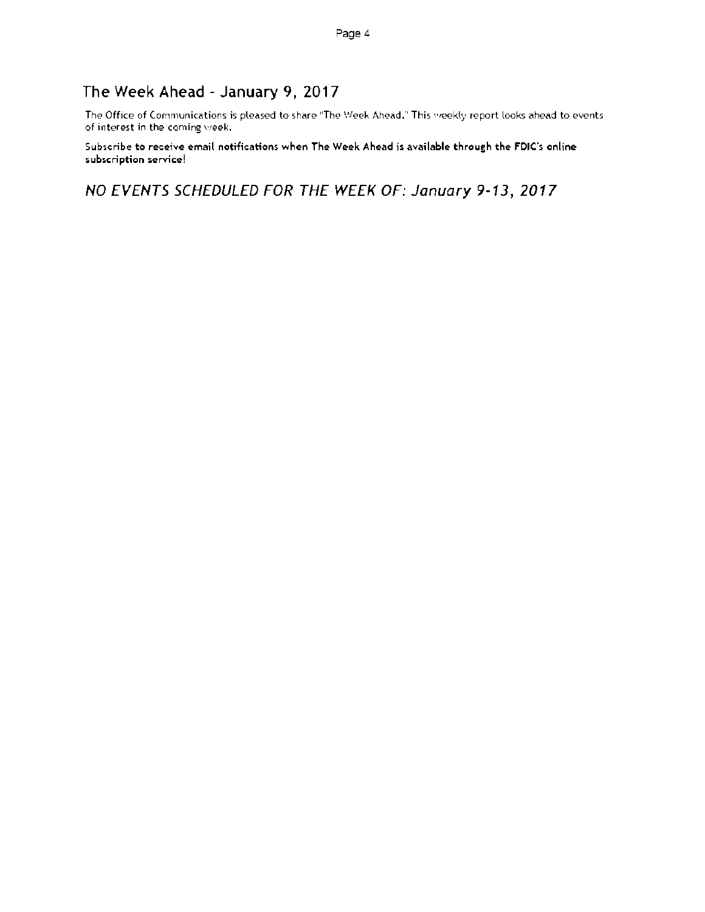# The Week Ahead - January 9, 2017

The Office of Communications is pleased to share "The Week Ahead." This weekly report looks ahead to events of interest in the coming week.

Subscribe to receive email notifications when The Week Ahead is available through the FDIC's online subscription service!

NO EVENTS SCHEDULED FOR THE WEEK OF: January 9-13, 2017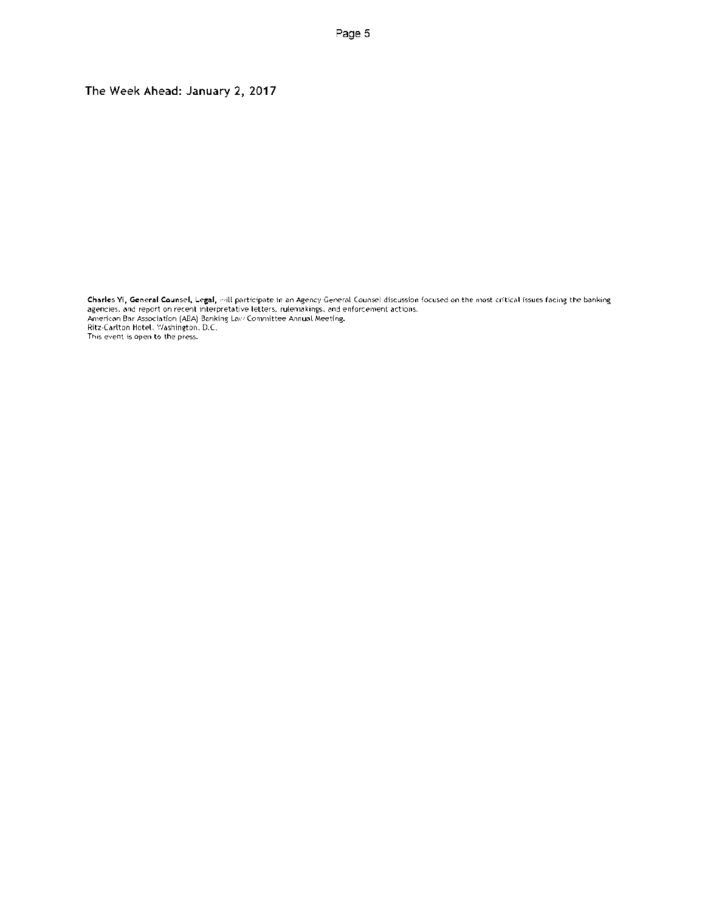The Week Ahead: January 2, 2017

Charles Yi, General Counsel, Legal, will participate in an Agency General Counsel discussion focused on the most critical issues facing the banking agencies, and report on recent interpretative letters, rulemakings, and enforcement actions.<br>American Bar Association (ABA) Banking Lav: Committee Annual Meeting.<br>Ritz-Carlton Hotel, Washington, D.C. This event is open to the press.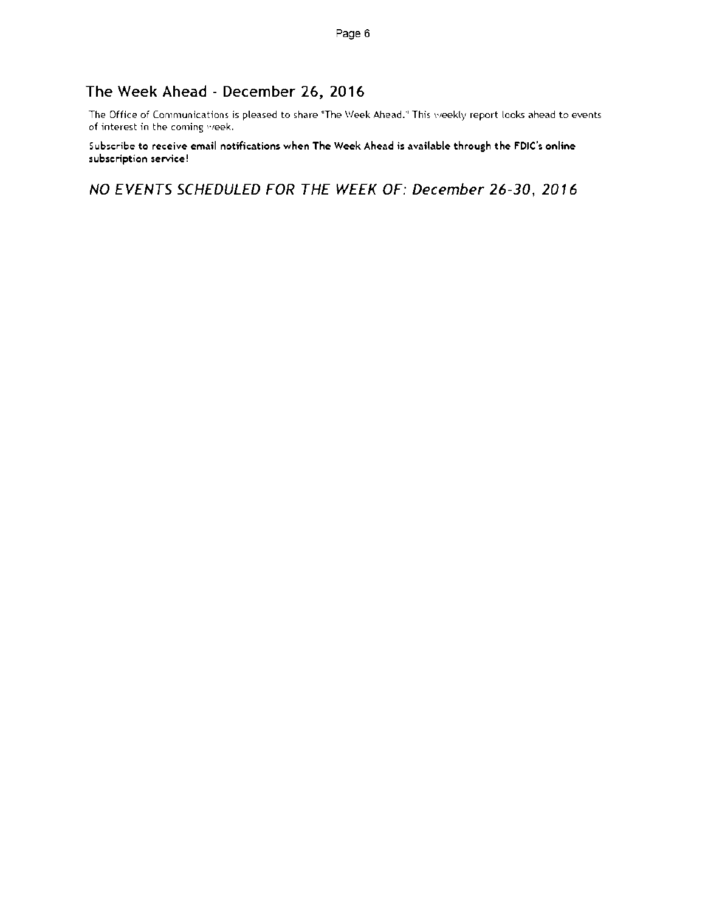# The Week Ahead - December 26, 2016

The Office of Communications is pleased to share "The Week Ahead." This weekly report looks ahead to events of interest in the coming week.

Subscribe to receive email notifications when The Week Ahead is available through the FDIC's online subscription service!

NO EVENTS SCHEDULED FOR THE WEEK OF: December 26-30, 2016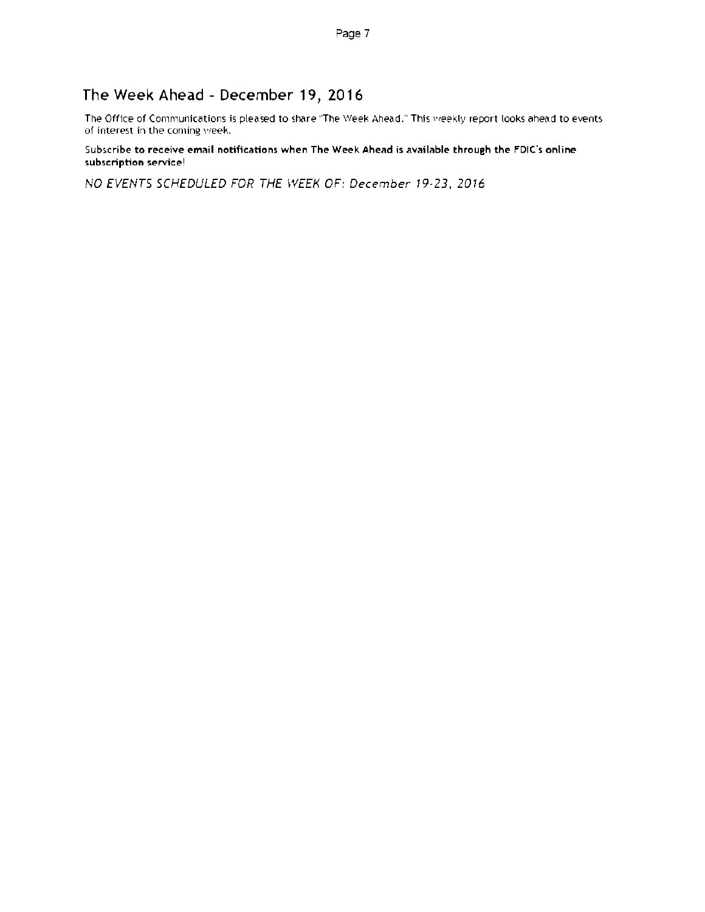# The Week Ahead - December 19, 2016

The Office of Communications is pleased to share "The Week Ahead." This weekly report looks ahead to events of interest in the coming week.

#### Subscribe to receive email notifications when The Week Ahead is available through the FDIC's online subscription service!

NO EVENTS SCHEDULED FOR THE WEEK OF: December 19-23, 2016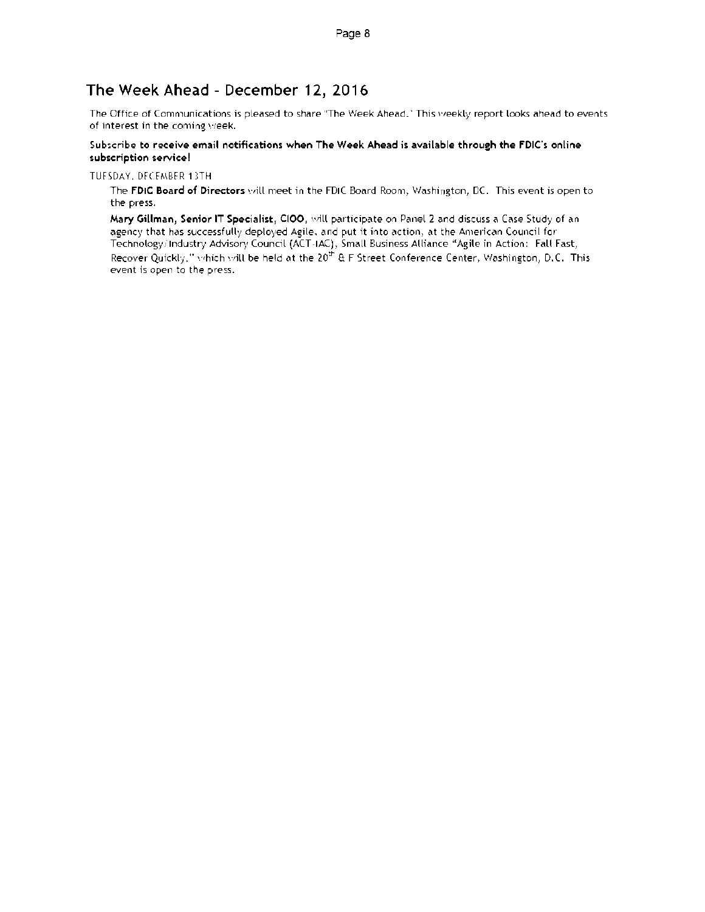# The Week Ahead - December 12, 2016

The Office of Communications is pleased to share "The Week Ahead." This weekly report looks ahead to events of interest in the coming week.

#### Subscribe to receive email notifications when The Week Ahead is available through the FDIC's online subscription service!

TUESDAY, DECEMBER 13TH

The FDIC Board of Directors will meet in the FDIC Board Room, Washington, DC. This event is open to the press.

Mary Gillman, Senior IT Specialist, CI00, will participate on Panel 2 and discuss a Case Study of an agency that has successfully deployed Agile. and put it into action, at the American Council for Technology Industry Advisory Council (ACT-IAC), Small Business Alliance "Agile in Action: Fall Fast. Recover Quickly," which will be held at the 20<sup>th</sup> & F Street Conference Center, Washington, D.C. This event is open to the press.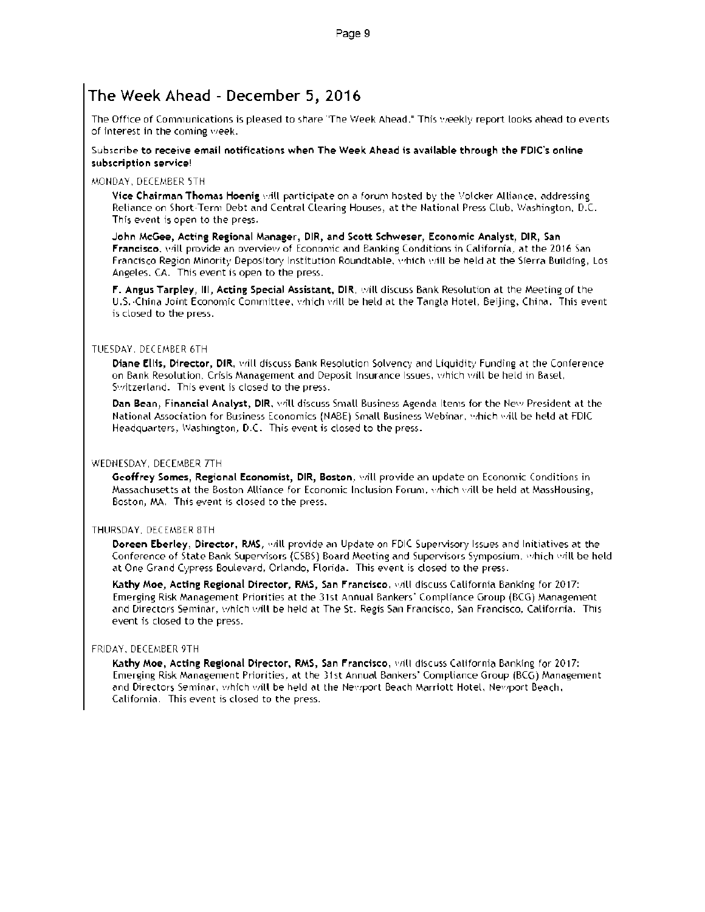# The Week Ahead - December 5,2016

The Office of Communications is pleased to share 'The Week Ahead." This weekly report looks ahead to events of interest in the coming yeek.

#### Subacribe to receive email notifications when The Week Ahead is available through the FDIC's online subscription service!

#### MONDAY. DECEMBER 5TH

Vice Chairman Thomas Hoenig will participate on a forum hosted by the Volcker Alliance, addressing Reliance on Short-Term Debt and Central Clearing Houses, at the National Press Club, Washington. D.C. This event is open to the press.

John McGee, Acting Regional Manager, DIR, and Scott Schweser, Economic Analyst, DIR, San Francisco, will provide an overview of Economic and Banking Conditions in California, at the 2016 San Francisco Region Minority Depository Institution Roundtable, which will be held at the Sierra Building, Los Angeles, CA. This event is open to the press.

F. Angus Tarpley, III, Acting Special Assistant, DIR. will discuss Bank Resolution at the Meeting of the U.S. China Joint Economic Committee, which will be held at the Tangla Hotel, Beijing, China. This event is closed to the press.

#### TUESDAY. DECEMBER 6TH

Diane Ellis, Director, DIR, will discuss Bank Resolution Solvency and Liquidity Funding at the Conference on Bank Resolution. Crisis Management and Deposit Insurance Issues, which will be held in Basel, Switzerland. This event is closed to the press.

Dan Bean, Financial Analyst, DIR, will discuss Small Business Agenda Items for the New President at the National Association for Business Economics (NABE) Small Business Webinar. which be held at FDIC Headquarters, Washington, D.C. This event is closed to the press.

#### WEDNESDAY, DECEMBER 7TH

Geoffrey Somes, Regional Economist, DIR, Boston, will provide an update on Economic Conditions in Massachusetts at the Boston Alliance for Economic Inclusion Forum. which be held at MassHousing, Boston, MA. This event is closed to the press.

#### THURSDAY, DECEMBER 8TH

Doreen Eberley, Director, RMS, will provide an Update on FDIC Supervisory Issues and Initiatives at the Conference of State Bank Supervisors (CSBS) Board Meeting and Supervisors Symposium. *which will be held* at One Grand Cypress Boulevard, Orlando, Florida. This event is closed to the press.

Kathy Moe, Acting Regional Director, RMS, San Francisco, will discuss California Banking for 2017: Emerging Risk Management Priorities at the 31st Annual Bankers Compliance Group (ECG) Management and Directors Seminar, which will be held at The St. Regis San Francisco, San Francisco, California. This event is closed to the press.

#### FRIDAY, DECEMBER 9TH

Kathy Moe, Acting Regional Director, RMS, San Francisco, will discuss California Banking for 2017: Emerging Risk Management Priorities, at the 31st Annual Bankers' Compliance Group (ECG) Management and Directors Seminar, which will be held at the Newport Beach Marriott Hotel, Newport Beach. California. This event is closed to the press.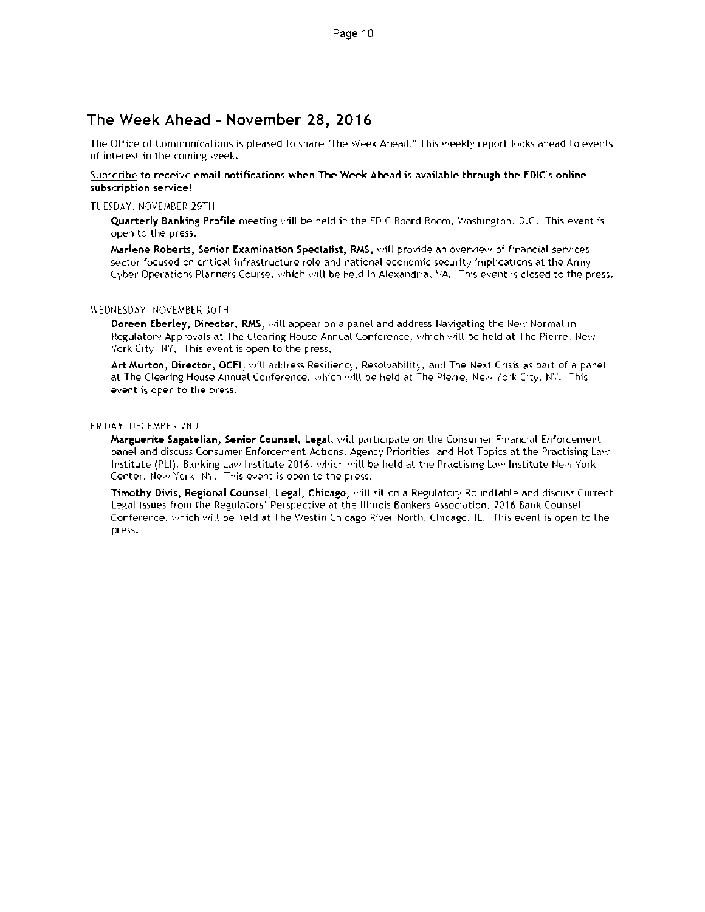### The Week Ahead - November 28, 2016

The Office of Communications is pleased to share 'The Week Ahead." This vieekly report looks ahead to events of interest in the corning week.

#### Subscribe to receive email notifications when The Week Ahead is available through the FDIC's online subscription service!

#### TUESDAY. NOVEMBER 29TH

Quarterly Banking Profile meeting vrill be held in the FDIC Board Room. Washington, D.C. This event is open to the press.

Marlene Roberts, Senior Examination Specialist, RMS, will provide an overview of financial services sector focused on critical infrastructure role and national economic security implications at the Army Cyber Operations Planners Course, which will be held in Alexandria, 9A. This event is closed to the press.

#### WEDNESDAY, NOVEMBER 30TH

Doreen Eberley, Director, RMS, will appear on a panel and address Navigating the New Normal in Regulatory Approvals at The Clearing House Annual Conference. which will be held at The Pierre, New York City. NY. This event is open to the press.

Art Murton, Director, OCFI, will address Resiliency, Resolvability, and The Next Crisis as part of a panel at The Clearing House Annual Conference. which will be held at The Pierre, New York City, NY. This event is open to the press.

#### FRIDAY, DECEMBER 2ND

Marguerite Sagatelian, Senior Counsel, Legal, will participate on the Consumer Financial Enforcement panel and discuss Consumer Enforcement Actions, Agency Priorities, and Hot Topics at the Practising Law Institute (PLI), Banking Law Institute 2016, which will be held at the Practising Law Institute New York Center, New York, NY. This event is open to the press.

Timothy Divis, Regional Counsel, Legal, Chicago, will sit on a Regulatory Roundtable and discuss Current Legal Issues from the Regulators' Perspective at the Illinois Bankers Association, 2016 Bank Counsel Conference, which will be held at The Westin Chicago River North, Chicago, IL. This event is open to the press.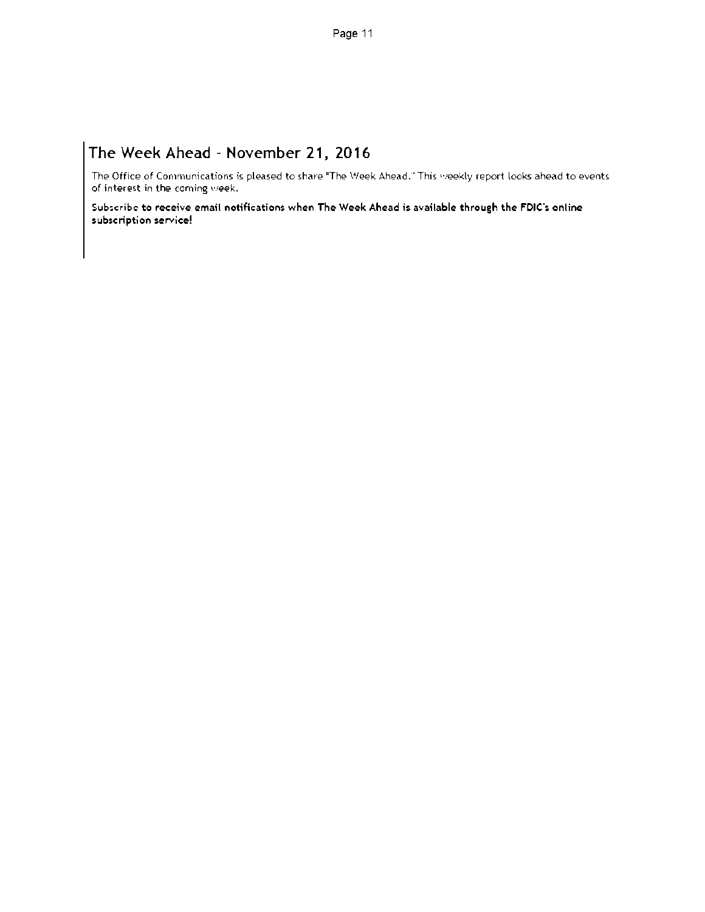# The Week Ahead - November 21, 2016

The Office of Communications is pleased to share "The Week Ahead." This weekly report looks ahead to events of interest in the coming week.

Subscribe to receive email notifications when The Week Ahead is available through the FDIC's online subscription service!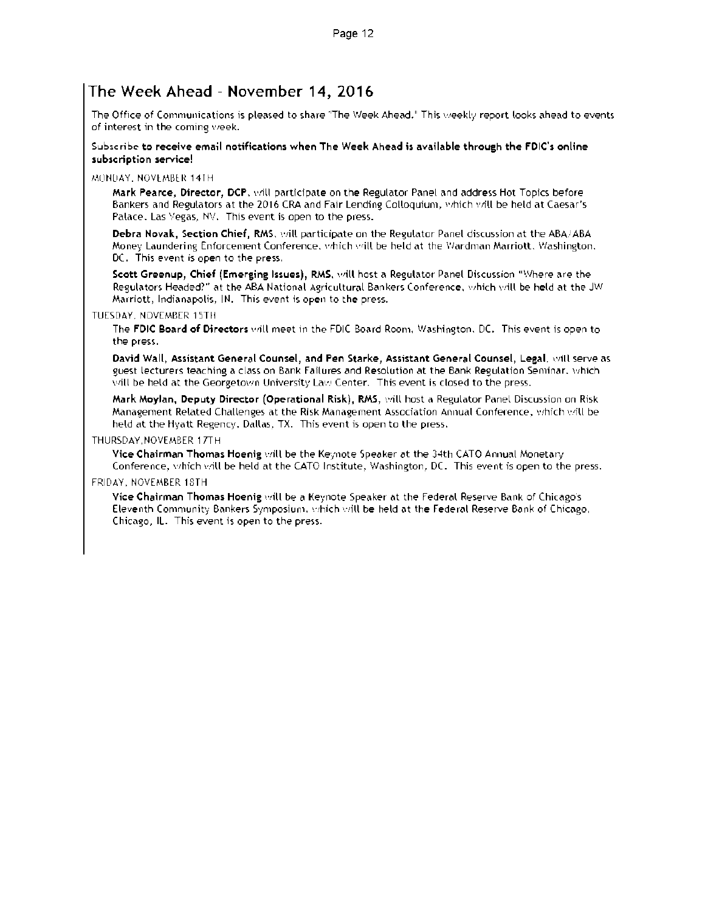### The Week Ahead - November 14, 2016

The Office of Communications is pleased to share "The Week Ahead." This weekly report looks ahead to events of interest in the coming week.

#### Subscribe to receive email notifications when The Week Ahead is available through the FDIC's online subscription service!

MONDAY. NOVEMBER 14TH

Mark Pearce, Director, DCP, will participate on the Regulator Panel and address Hot Topics before Bankers and Regulators at the 2016 CPA and Fair Lending Colloquium, which will be held at Caesar's Palace. Las Vegas. NV. This event is open to the press.

Debra Novak, Section Chief, RMS, will participate on the Regulator Panel discussion at the ABA/ABA Money Laundering Enforcement Conference, which will be held at the Wardman Marriott. Washington, DC. This event is open to the press.

Scott Greenup, Chief (Emerging Issues), RMS, will host a Regulator Panel Discussion "Where are the Regulators Headed?" at the ABA National Agricultural Bankers Conference, which will be held at the JW Marriott, Indianapolis, IN. This event is open to the press.

#### TUESDAY. NOVEMBER 15TH

The FDIC Board of Directors will meet in the FDIC Board Room, Washington, DC. This event is open to the press.

David Wall, Assistant General Counsel, and Pen Starke, Assistant General Counsel, Legal, will serve as guest lecturers teaching a class on Bank Failures and Resolution at the Bank Regulation Seminar. Which will be held at the Georgetown University Law Center. This event is closed to the press.

Mark Moylan, Deputy Director (Operational Risk), RMS, will host a Regulator Panel Discussion on Risk Management Related Challenges at the Risk Management Association Annual Conference, which will be held at the Hyatt Regency, Dallas, TX. This event is open to the press.

#### THURSDAY,NOVEMBER 1 TT H

Vice Chairman Thomas Hoenig will be the Keynote Speaker at the 34th CATO Annual Monetary Conference, which will be held at the CATO Institute, Washington, DC. This event is open to the press.

#### FRIDAY. NOVEMBER 18TH

Vice Chairman Thomas Hoenig will be a Keynote Speaker at the Federal Reserve Bank of Chicago's Eleventh Community Bankers Symposium. which vrill be held at the Federal Reserve Bank of Chicago, Chicago, IL. This event is open to the press.